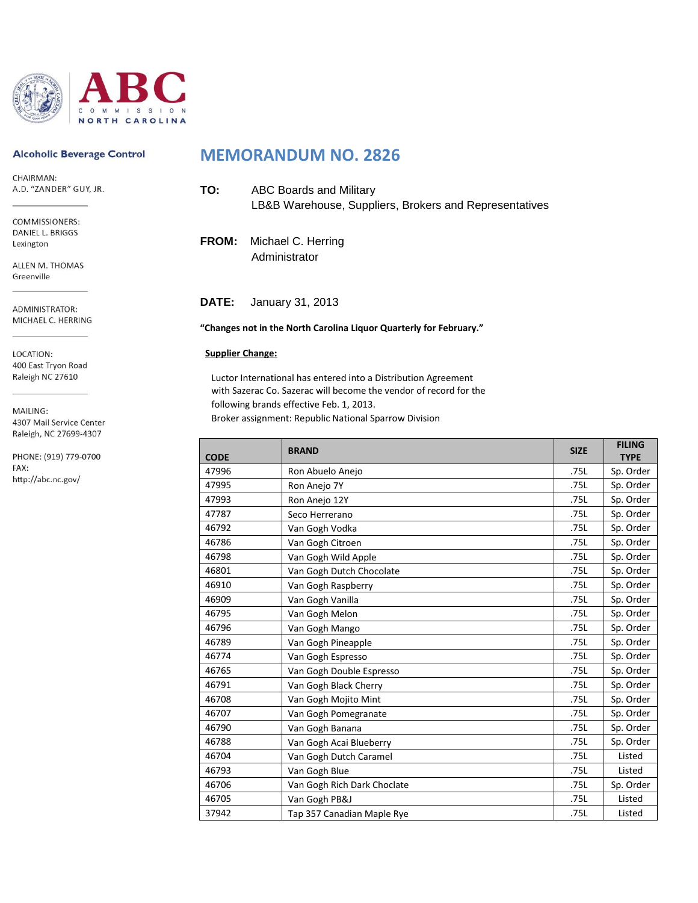

#### **Alcoholic Beverage Control**

CHAIRMAN: A.D. "ZANDER" GUY, JR.

COMMISSIONERS: DANIEL L. BRIGGS Lexington

ALLEN M. THOMAS Greenville

ADMINISTRATOR: MICHAEL C. HERRING

LOCATION: 400 East Tryon Road Raleigh NC 27610

MAILING:

4307 Mail Service Center Raleigh, NC 27699-4307

PHONE: (919) 779-0700 FAX: http://abc.nc.gov/

# **MEMORANDUM NO. 2826**

| TO: | ABC Boards and Military                                |
|-----|--------------------------------------------------------|
|     | LB&B Warehouse, Suppliers, Brokers and Representatives |

**FROM:** Michael C. Herring Administrator

**DATE:** January 31, 2013

#### **"Changes not in the North Carolina Liquor Quarterly for February."**

#### **Supplier Change:**

Luctor International has entered into a Distribution Agreement with Sazerac Co. Sazerac will become the vendor of record for the following brands effective Feb. 1, 2013.

Broker assignment: Republic National Sparrow Division

| <b>CODE</b> | <b>BRAND</b>                | <b>SIZE</b> | <b>FILING</b><br><b>TYPE</b> |
|-------------|-----------------------------|-------------|------------------------------|
| 47996       | Ron Abuelo Anejo            | .75L        | Sp. Order                    |
| 47995       | Ron Anejo 7Y                | .75L        | Sp. Order                    |
| 47993       | Ron Anejo 12Y               | .75L        | Sp. Order                    |
| 47787       | Seco Herrerano              | .75L        | Sp. Order                    |
| 46792       | Van Gogh Vodka              | .75L        | Sp. Order                    |
| 46786       | Van Gogh Citroen            | .75L        | Sp. Order                    |
| 46798       | Van Gogh Wild Apple         | .75L        | Sp. Order                    |
| 46801       | Van Gogh Dutch Chocolate    | .75L        | Sp. Order                    |
| 46910       | Van Gogh Raspberry          | .75L        | Sp. Order                    |
| 46909       | Van Gogh Vanilla            | .75L        | Sp. Order                    |
| 46795       | Van Gogh Melon              |             | Sp. Order                    |
| 46796       | Van Gogh Mango              |             | Sp. Order                    |
| 46789       | Van Gogh Pineapple          |             | Sp. Order                    |
| 46774       | Van Gogh Espresso           | .75L        | Sp. Order                    |
| 46765       | Van Gogh Double Espresso    | .75L        | Sp. Order                    |
| 46791       | Van Gogh Black Cherry       | .75L        | Sp. Order                    |
| 46708       | Van Gogh Mojito Mint        | .75L        | Sp. Order                    |
| 46707       | Van Gogh Pomegranate        | .75L        | Sp. Order                    |
| 46790       | Van Gogh Banana             | .75L        | Sp. Order                    |
| 46788       | Van Gogh Acai Blueberry     | .75L        | Sp. Order                    |
| 46704       | Van Gogh Dutch Caramel      | .75L        | Listed                       |
| 46793       | Van Gogh Blue               |             | Listed                       |
| 46706       | Van Gogh Rich Dark Choclate |             | Sp. Order                    |
| 46705       | Van Gogh PB&J               | .75L        | Listed                       |
| 37942       | Tap 357 Canadian Maple Rye  | .75L        | Listed                       |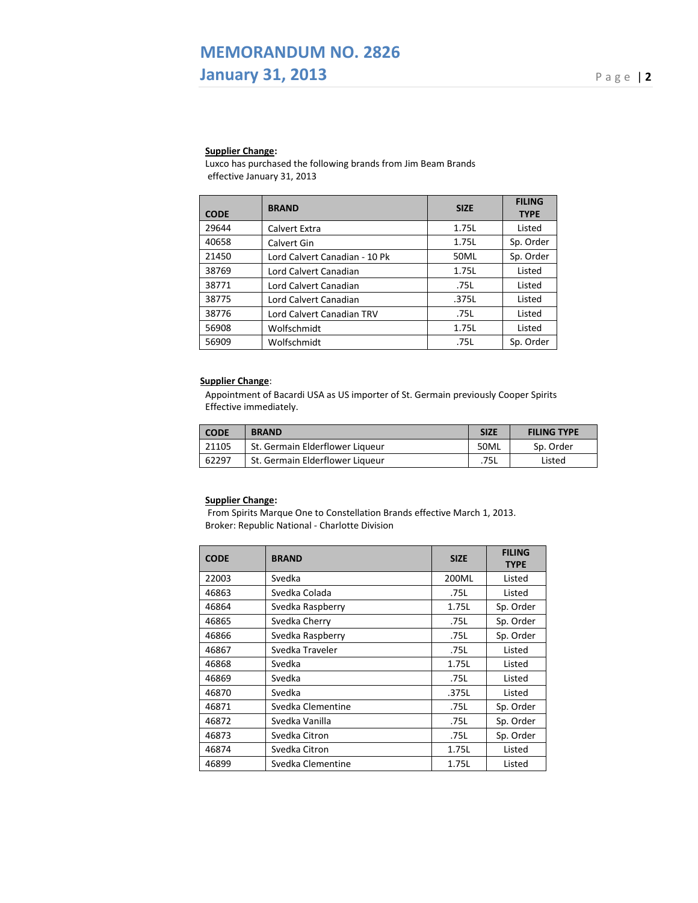# **MEMORANDUM NO. 2826 January 31, 2013** Page |2

### **Supplier Change:**

Luxco has purchased the following brands from Jim Beam Brands effective January 31, 2013

| <b>CODE</b> | <b>BRAND</b>                  | <b>SIZE</b> | <b>FILING</b><br><b>TYPE</b> |
|-------------|-------------------------------|-------------|------------------------------|
| 29644       | Calvert Extra                 | 1.75L       | Listed                       |
| 40658       | Calvert Gin                   | 1.75L       | Sp. Order                    |
| 21450       | Lord Calvert Canadian - 10 Pk | 50ML        | Sp. Order                    |
| 38769       | Lord Calvert Canadian         | 1.75L       | Listed                       |
| 38771       | Lord Calvert Canadian         | .75L        | Listed                       |
| 38775       | Lord Calvert Canadian         | .375L       | Listed                       |
| 38776       | Lord Calvert Canadian TRV     | .75L        | Listed                       |
| 56908       | Wolfschmidt                   | 1.75L       | Listed                       |
| 56909       | Wolfschmidt                   | .75L        | Sp. Order                    |

#### **Supplier Change**:

Appointment of Bacardi USA as US importer of St. Germain previously Cooper Spirits Effective immediately.

| <b>CODE</b> | <b>BRAND</b>                    | <b>SIZE</b> | <b>FILING TYPE</b> |
|-------------|---------------------------------|-------------|--------------------|
| 21105       | St. Germain Elderflower Liqueur | 50ML        | Sp. Order          |
| 62297       | St. Germain Elderflower Liqueur | .75L        | Listed             |

## **Supplier Change:**

From Spirits Marque One to Constellation Brands effective March 1, 2013. Broker: Republic National - Charlotte Division

| <b>CODE</b> | <b>BRAND</b>      | <b>SIZE</b> | <b>FILING</b><br><b>TYPE</b> |
|-------------|-------------------|-------------|------------------------------|
| 22003       | Svedka            | 200ML       | Listed                       |
| 46863       | Svedka Colada     | .75L        | Listed                       |
| 46864       | Svedka Raspberry  | 1.75L       | Sp. Order                    |
| 46865       | Svedka Cherry     | .75L        | Sp. Order                    |
| 46866       | Svedka Raspberry  | .75L        | Sp. Order                    |
| 46867       | Svedka Traveler   | .75L        | Listed                       |
| 46868       | Svedka            | 1.75L       | Listed                       |
| 46869       | Svedka            | .75L        | Listed                       |
| 46870       | Svedka            | .375L       | Listed                       |
| 46871       | Svedka Clementine | .75L        | Sp. Order                    |
| 46872       | Svedka Vanilla    | .75L        | Sp. Order                    |
| 46873       | Svedka Citron     | .75L        | Sp. Order                    |
| 46874       | Svedka Citron     | 1.75L       | Listed                       |
| 46899       | Svedka Clementine | 1.75L       | Listed                       |